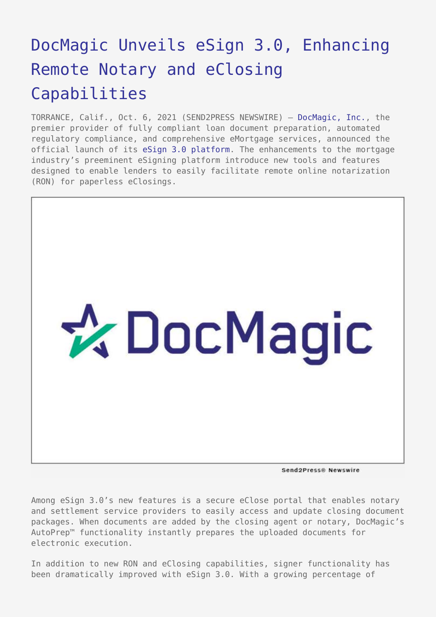# [DocMagic Unveils eSign 3.0, Enhancing](https://www.send2press.com/wire/docmagic-unveils-esign-3-0-enhancing-remote-notary-and-eclosing-capabilities/) [Remote Notary and eClosing](https://www.send2press.com/wire/docmagic-unveils-esign-3-0-enhancing-remote-notary-and-eclosing-capabilities/) [Capabilities](https://www.send2press.com/wire/docmagic-unveils-esign-3-0-enhancing-remote-notary-and-eclosing-capabilities/)

TORRANCE, Calif., Oct. 6, 2021 (SEND2PRESS NEWSWIRE) — [DocMagic, Inc.](https://www.docmagic.com/), the premier provider of fully compliant loan document preparation, automated regulatory compliance, and comprehensive eMortgage services, announced the official launch of its [eSign 3.0 platform](https://www.docmagic.com/esignatures). The enhancements to the mortgage industry's preeminent eSigning platform introduce new tools and features designed to enable lenders to easily facilitate remote online notarization (RON) for paperless eClosings.



Send2Press® Newswire

Among eSign 3.0's new features is a secure eClose portal that enables notary and settlement service providers to easily access and update closing document packages. When documents are added by the closing agent or notary, DocMagic's AutoPrep™ functionality instantly prepares the uploaded documents for electronic execution.

In addition to new RON and eClosing capabilities, signer functionality has been dramatically improved with eSign 3.0. With a growing percentage of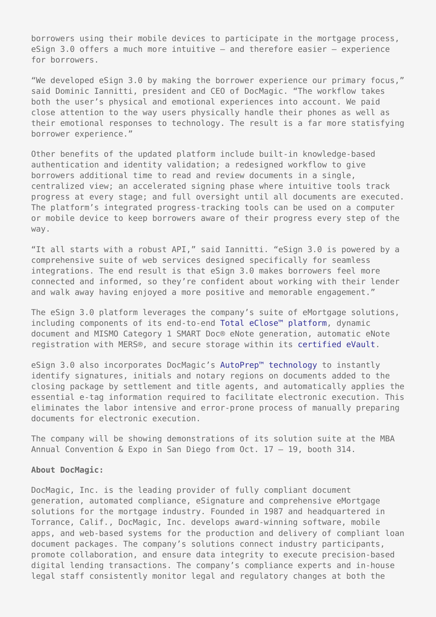borrowers using their mobile devices to participate in the mortgage process, eSign 3.0 offers a much more intuitive — and therefore easier — experience for borrowers.

"We developed eSign 3.0 by making the borrower experience our primary focus," said Dominic Iannitti, president and CEO of DocMagic. "The workflow takes both the user's physical and emotional experiences into account. We paid close attention to the way users physically handle their phones as well as their emotional responses to technology. The result is a far more statisfying borrower experience."

Other benefits of the updated platform include built-in knowledge-based authentication and identity validation; a redesigned workflow to give borrowers additional time to read and review documents in a single, centralized view; an accelerated signing phase where intuitive tools track progress at every stage; and full oversight until all documents are executed. The platform's integrated progress-tracking tools can be used on a computer or mobile device to keep borrowers aware of their progress every step of the way.

"It all starts with a robust API," said Iannitti. "eSign 3.0 is powered by a comprehensive suite of web services designed specifically for seamless integrations. The end result is that eSign 3.0 makes borrowers feel more connected and informed, so they're confident about working with their lender and walk away having enjoyed a more positive and memorable engagement."

The eSign 3.0 platform leverages the company's suite of eMortgage solutions, including components of its end-to-end [Total eClose™ platform](https://www.docmagic.com/total-eclose), dynamic document and MISMO Category 1 SMART Doc® eNote generation, automatic eNote registration with MERS®, and secure storage within its [certified eVault.](https://www.docmagic.com/evault)

eSign 3.0 also incorporates DocMagic's [AutoPrep™ technology](https://www.docmagic.com/about/news/2020/docmagic_launches_autoprep_technology) to instantly identify signatures, initials and notary regions on documents added to the closing package by settlement and title agents, and automatically applies the essential e-tag information required to facilitate electronic execution. This eliminates the labor intensive and error-prone process of manually preparing documents for electronic execution.

The company will be showing demonstrations of its solution suite at the MBA Annual Convention & Expo in San Diego from Oct. 17 - 19, booth 314.

## **About DocMagic:**

DocMagic, Inc. is the leading provider of fully compliant document generation, automated compliance, eSignature and comprehensive eMortgage solutions for the mortgage industry. Founded in 1987 and headquartered in Torrance, Calif., DocMagic, Inc. develops award-winning software, mobile apps, and web-based systems for the production and delivery of compliant loan document packages. The company's solutions connect industry participants, promote collaboration, and ensure data integrity to execute precision-based digital lending transactions. The company's compliance experts and in-house legal staff consistently monitor legal and regulatory changes at both the